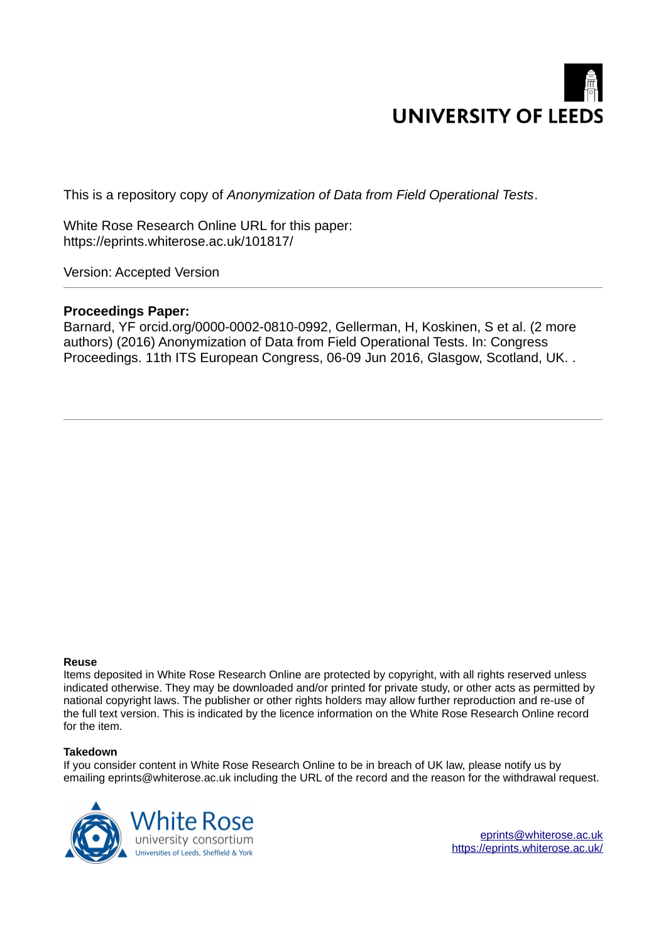

This is a repository copy of *Anonymization of Data from Field Operational Tests*.

White Rose Research Online URL for this paper: https://eprints.whiterose.ac.uk/101817/

Version: Accepted Version

# **Proceedings Paper:**

Barnard, YF orcid.org/0000-0002-0810-0992, Gellerman, H, Koskinen, S et al. (2 more authors) (2016) Anonymization of Data from Field Operational Tests. In: Congress Proceedings. 11th ITS European Congress, 06-09 Jun 2016, Glasgow, Scotland, UK. .

### **Reuse**

Items deposited in White Rose Research Online are protected by copyright, with all rights reserved unless indicated otherwise. They may be downloaded and/or printed for private study, or other acts as permitted by national copyright laws. The publisher or other rights holders may allow further reproduction and re-use of the full text version. This is indicated by the licence information on the White Rose Research Online record for the item.

### **Takedown**

If you consider content in White Rose Research Online to be in breach of UK law, please notify us by emailing eprints@whiterose.ac.uk including the URL of the record and the reason for the withdrawal request.



eprints@whiterose.ac.uk https://eprints.whiterose.ac.uk/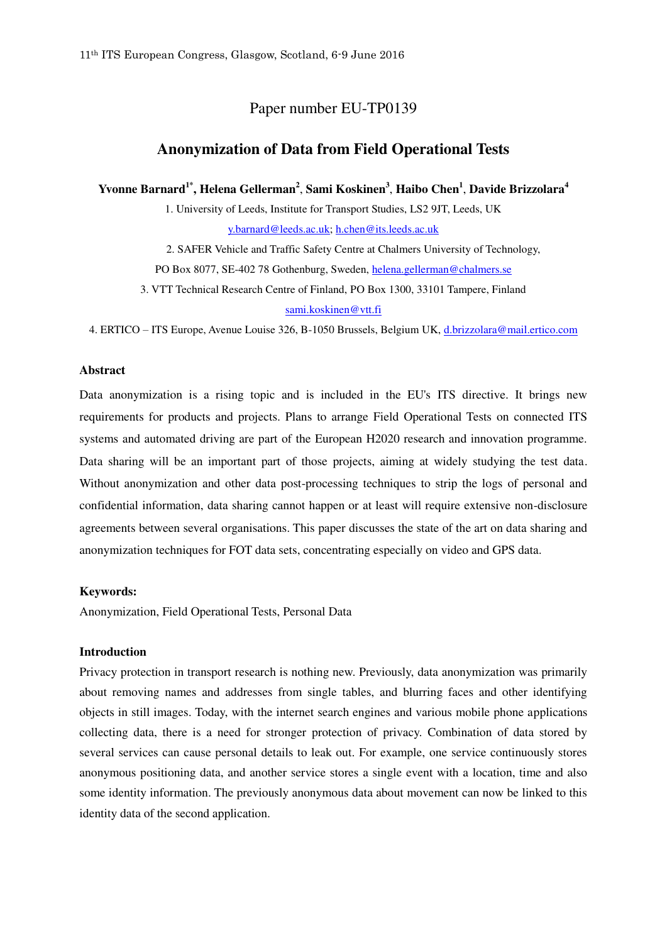## Paper number EU-TP0139

## **Anonymization of Data from Field Operational Tests**

**Yvonne Barnard1\*, Helena Gellerman<sup>2</sup>** , **Sami Koskinen<sup>3</sup>** , **Haibo Chen<sup>1</sup>** , **Davide Brizzolara<sup>4</sup>**

1. University of Leeds, Institute for Transport Studies, LS2 9JT, Leeds, UK [y.barnard@leeds.ac.uk;](mailto:y.barnard@leeds.ac.uk) [h.chen@its.leeds.ac.uk](mailto:h.chen@its.leeds.ac.uk)

2. SAFER Vehicle and Traffic Safety Centre at Chalmers University of Technology, PO Box 8077, SE-402 78 Gothenburg, Sweden, [helena.gellerman@chalmers.se](mailto:helena.gellerman@chalmers.se) 

3. VTT Technical Research Centre of Finland, PO Box 1300, 33101 Tampere, Finland [sami.koskinen@vtt.fi](mailto:sami.koskinen@vtt.fi) 

4. ERTICO – ITS Europe, Avenue Louise 326, B-1050 Brussels, Belgium UK, [d.brizzolara@mail.ertico.com](mailto:d.brizzolara@mail.ertico.com) 

### **Abstract**

Data anonymization is a rising topic and is included in the EU's ITS directive. It brings new requirements for products and projects. Plans to arrange Field Operational Tests on connected ITS systems and automated driving are part of the European H2020 research and innovation programme. Data sharing will be an important part of those projects, aiming at widely studying the test data. Without anonymization and other data post-processing techniques to strip the logs of personal and confidential information, data sharing cannot happen or at least will require extensive non-disclosure agreements between several organisations. This paper discusses the state of the art on data sharing and anonymization techniques for FOT data sets, concentrating especially on video and GPS data.

### **Keywords:**

Anonymization, Field Operational Tests, Personal Data

### **Introduction**

Privacy protection in transport research is nothing new. Previously, data anonymization was primarily about removing names and addresses from single tables, and blurring faces and other identifying objects in still images. Today, with the internet search engines and various mobile phone applications collecting data, there is a need for stronger protection of privacy. Combination of data stored by several services can cause personal details to leak out. For example, one service continuously stores anonymous positioning data, and another service stores a single event with a location, time and also some identity information. The previously anonymous data about movement can now be linked to this identity data of the second application.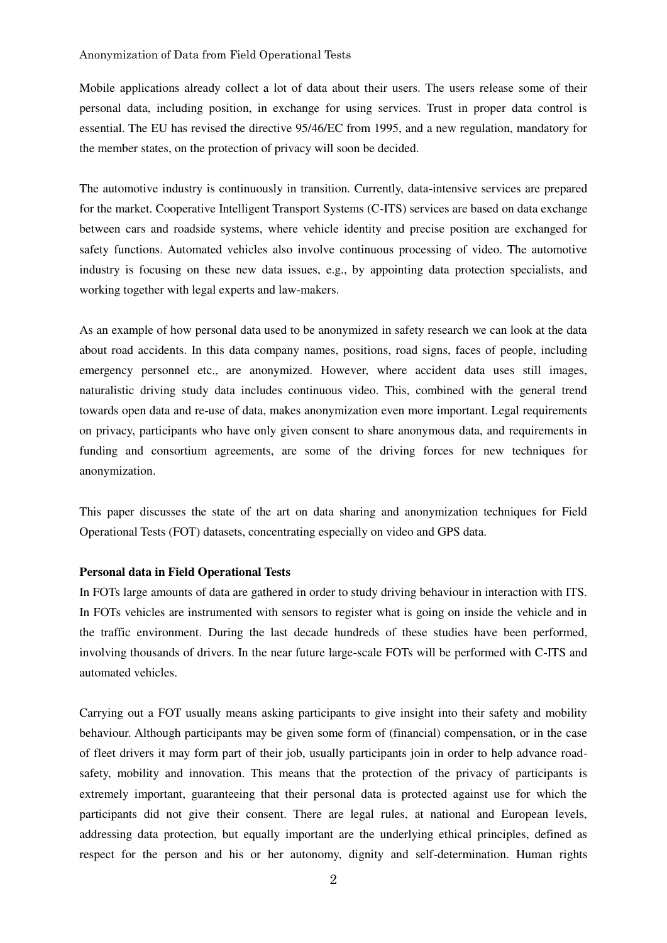Mobile applications already collect a lot of data about their users. The users release some of their personal data, including position, in exchange for using services. Trust in proper data control is essential. The EU has revised the directive 95/46/EC from 1995, and a new regulation, mandatory for the member states, on the protection of privacy will soon be decided.

The automotive industry is continuously in transition. Currently, data-intensive services are prepared for the market. Cooperative Intelligent Transport Systems (C-ITS) services are based on data exchange between cars and roadside systems, where vehicle identity and precise position are exchanged for safety functions. Automated vehicles also involve continuous processing of video. The automotive industry is focusing on these new data issues, e.g., by appointing data protection specialists, and working together with legal experts and law-makers.

As an example of how personal data used to be anonymized in safety research we can look at the data about road accidents. In this data company names, positions, road signs, faces of people, including emergency personnel etc., are anonymized. However, where accident data uses still images, naturalistic driving study data includes continuous video. This, combined with the general trend towards open data and re-use of data, makes anonymization even more important. Legal requirements on privacy, participants who have only given consent to share anonymous data, and requirements in funding and consortium agreements, are some of the driving forces for new techniques for anonymization.

This paper discusses the state of the art on data sharing and anonymization techniques for Field Operational Tests (FOT) datasets, concentrating especially on video and GPS data.

#### **Personal data in Field Operational Tests**

In FOTs large amounts of data are gathered in order to study driving behaviour in interaction with ITS. In FOTs vehicles are instrumented with sensors to register what is going on inside the vehicle and in the traffic environment. During the last decade hundreds of these studies have been performed, involving thousands of drivers. In the near future large-scale FOTs will be performed with C-ITS and automated vehicles.

Carrying out a FOT usually means asking participants to give insight into their safety and mobility behaviour. Although participants may be given some form of (financial) compensation, or in the case of fleet drivers it may form part of their job, usually participants join in order to help advance roadsafety, mobility and innovation. This means that the protection of the privacy of participants is extremely important, guaranteeing that their personal data is protected against use for which the participants did not give their consent. There are legal rules, at national and European levels, addressing data protection, but equally important are the underlying ethical principles, defined as respect for the person and his or her autonomy, dignity and self-determination. Human rights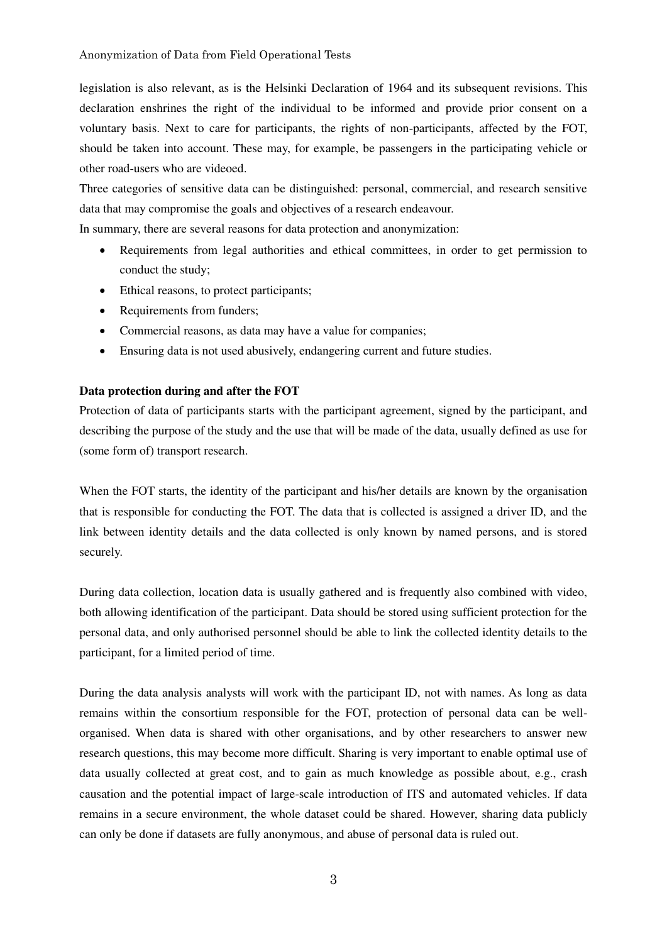legislation is also relevant, as is the Helsinki Declaration of 1964 and its subsequent revisions. This declaration enshrines the right of the individual to be informed and provide prior consent on a voluntary basis. Next to care for participants, the rights of non-participants, affected by the FOT, should be taken into account. These may, for example, be passengers in the participating vehicle or other road-users who are videoed.

Three categories of sensitive data can be distinguished: personal, commercial, and research sensitive data that may compromise the goals and objectives of a research endeavour.

In summary, there are several reasons for data protection and anonymization:

- Requirements from legal authorities and ethical committees, in order to get permission to conduct the study;
- Ethical reasons, to protect participants;
- Requirements from funders;
- Commercial reasons, as data may have a value for companies;
- Ensuring data is not used abusively, endangering current and future studies.

## **Data protection during and after the FOT**

Protection of data of participants starts with the participant agreement, signed by the participant, and describing the purpose of the study and the use that will be made of the data, usually defined as use for (some form of) transport research.

When the FOT starts, the identity of the participant and his/her details are known by the organisation that is responsible for conducting the FOT. The data that is collected is assigned a driver ID, and the link between identity details and the data collected is only known by named persons, and is stored securely.

During data collection, location data is usually gathered and is frequently also combined with video, both allowing identification of the participant. Data should be stored using sufficient protection for the personal data, and only authorised personnel should be able to link the collected identity details to the participant, for a limited period of time.

During the data analysis analysts will work with the participant ID, not with names. As long as data remains within the consortium responsible for the FOT, protection of personal data can be wellorganised. When data is shared with other organisations, and by other researchers to answer new research questions, this may become more difficult. Sharing is very important to enable optimal use of data usually collected at great cost, and to gain as much knowledge as possible about, e.g., crash causation and the potential impact of large-scale introduction of ITS and automated vehicles. If data remains in a secure environment, the whole dataset could be shared. However, sharing data publicly can only be done if datasets are fully anonymous, and abuse of personal data is ruled out.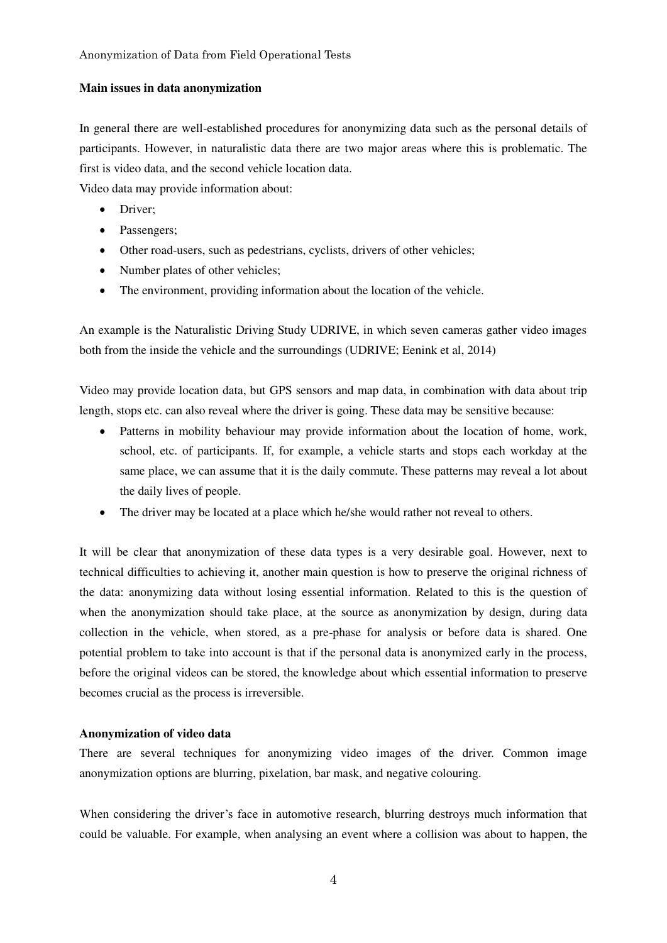## **Main issues in data anonymization**

In general there are well-established procedures for anonymizing data such as the personal details of participants. However, in naturalistic data there are two major areas where this is problematic. The first is video data, and the second vehicle location data.

Video data may provide information about:

- Driver;
- Passengers;
- Other road-users, such as pedestrians, cyclists, drivers of other vehicles;
- Number plates of other vehicles;
- The environment, providing information about the location of the vehicle.

An example is the Naturalistic Driving Study UDRIVE, in which seven cameras gather video images both from the inside the vehicle and the surroundings (UDRIVE; Eenink et al, 2014)

Video may provide location data, but GPS sensors and map data, in combination with data about trip length, stops etc. can also reveal where the driver is going. These data may be sensitive because:

- Patterns in mobility behaviour may provide information about the location of home, work, school, etc. of participants. If, for example, a vehicle starts and stops each workday at the same place, we can assume that it is the daily commute. These patterns may reveal a lot about the daily lives of people.
- The driver may be located at a place which he/she would rather not reveal to others.

It will be clear that anonymization of these data types is a very desirable goal. However, next to technical difficulties to achieving it, another main question is how to preserve the original richness of the data: anonymizing data without losing essential information. Related to this is the question of when the anonymization should take place, at the source as anonymization by design, during data collection in the vehicle, when stored, as a pre-phase for analysis or before data is shared. One potential problem to take into account is that if the personal data is anonymized early in the process, before the original videos can be stored, the knowledge about which essential information to preserve becomes crucial as the process is irreversible.

## **Anonymization of video data**

There are several techniques for anonymizing video images of the driver. Common image anonymization options are blurring, pixelation, bar mask, and negative colouring.

When considering the driver's face in automotive research, blurring destroys much information that could be valuable. For example, when analysing an event where a collision was about to happen, the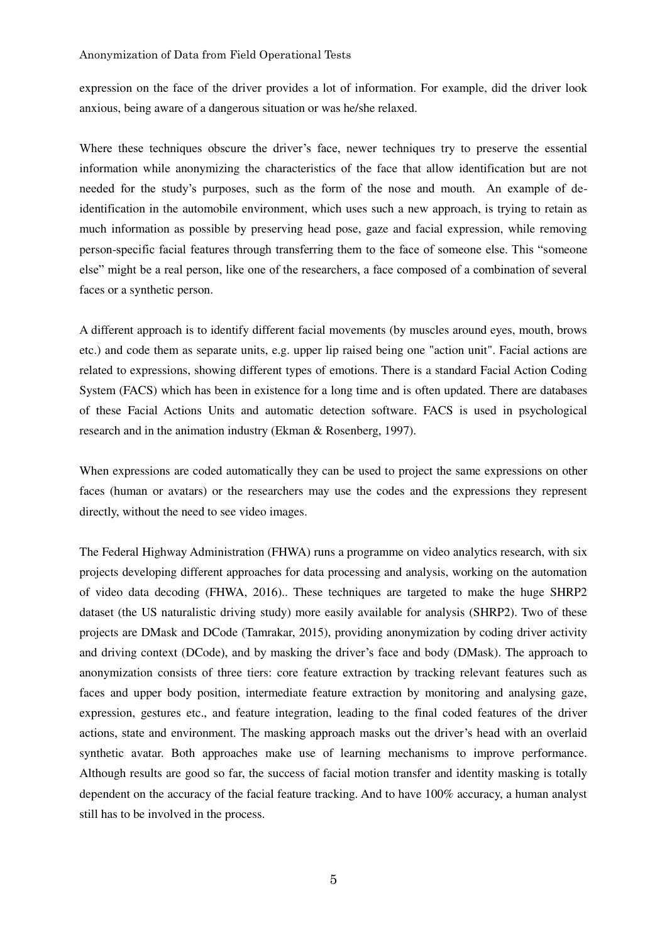expression on the face of the driver provides a lot of information. For example, did the driver look anxious, being aware of a dangerous situation or was he/she relaxed.

Where these techniques obscure the driver's face, newer techniques try to preserve the essential information while anonymizing the characteristics of the face that allow identification but are not needed for the study's purposes, such as the form of the nose and mouth. An example of deidentification in the automobile environment, which uses such a new approach, is trying to retain as much information as possible by preserving head pose, gaze and facial expression, while removing person-specific facial features through transferring them to the face of someone else. This "someone else" might be a real person, like one of the researchers, a face composed of a combination of several faces or a synthetic person.

A different approach is to identify different facial movements (by muscles around eyes, mouth, brows etc.) and code them as separate units, e.g. upper lip raised being one "action unit". Facial actions are related to expressions, showing different types of emotions. There is a standard Facial Action Coding System (FACS) which has been in existence for a long time and is often updated. There are databases of these Facial Actions Units and automatic detection software. FACS is used in psychological research and in the animation industry (Ekman & Rosenberg, 1997).

When expressions are coded automatically they can be used to project the same expressions on other faces (human or avatars) or the researchers may use the codes and the expressions they represent directly, without the need to see video images.

The Federal Highway Administration (FHWA) runs a programme on video analytics research, with six projects developing different approaches for data processing and analysis, working on the automation of video data decoding (FHWA, 2016).. These techniques are targeted to make the huge SHRP2 dataset (the US naturalistic driving study) more easily available for analysis (SHRP2). Two of these projects are DMask and DCode (Tamrakar, 2015), providing anonymization by coding driver activity and driving context (DCode), and by masking the driver's face and body (DMask). The approach to anonymization consists of three tiers: core feature extraction by tracking relevant features such as faces and upper body position, intermediate feature extraction by monitoring and analysing gaze, expression, gestures etc., and feature integration, leading to the final coded features of the driver actions, state and environment. The masking approach masks out the driver's head with an overlaid synthetic avatar. Both approaches make use of learning mechanisms to improve performance. Although results are good so far, the success of facial motion transfer and identity masking is totally dependent on the accuracy of the facial feature tracking. And to have 100% accuracy, a human analyst still has to be involved in the process.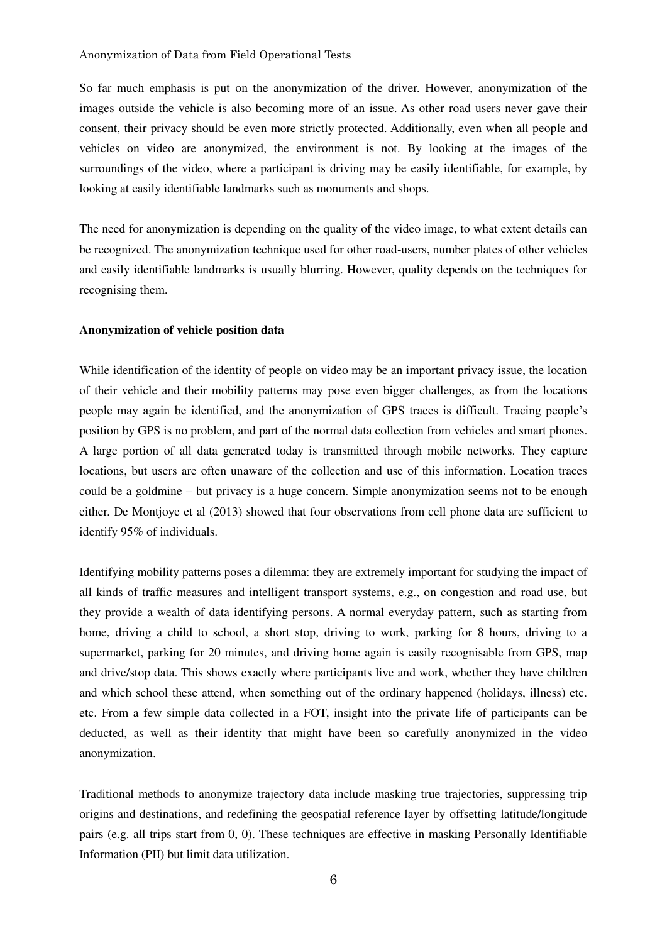So far much emphasis is put on the anonymization of the driver. However, anonymization of the images outside the vehicle is also becoming more of an issue. As other road users never gave their consent, their privacy should be even more strictly protected. Additionally, even when all people and vehicles on video are anonymized, the environment is not. By looking at the images of the surroundings of the video, where a participant is driving may be easily identifiable, for example, by looking at easily identifiable landmarks such as monuments and shops.

The need for anonymization is depending on the quality of the video image, to what extent details can be recognized. The anonymization technique used for other road-users, number plates of other vehicles and easily identifiable landmarks is usually blurring. However, quality depends on the techniques for recognising them.

### **Anonymization of vehicle position data**

While identification of the identity of people on video may be an important privacy issue, the location of their vehicle and their mobility patterns may pose even bigger challenges, as from the locations people may again be identified, and the anonymization of GPS traces is difficult. Tracing people's position by GPS is no problem, and part of the normal data collection from vehicles and smart phones. A large portion of all data generated today is transmitted through mobile networks. They capture locations, but users are often unaware of the collection and use of this information. Location traces could be a goldmine – but privacy is a huge concern. Simple anonymization seems not to be enough either. De Montjoye et al (2013) showed that four observations from cell phone data are sufficient to identify 95% of individuals.

Identifying mobility patterns poses a dilemma: they are extremely important for studying the impact of all kinds of traffic measures and intelligent transport systems, e.g., on congestion and road use, but they provide a wealth of data identifying persons. A normal everyday pattern, such as starting from home, driving a child to school, a short stop, driving to work, parking for 8 hours, driving to a supermarket, parking for 20 minutes, and driving home again is easily recognisable from GPS, map and drive/stop data. This shows exactly where participants live and work, whether they have children and which school these attend, when something out of the ordinary happened (holidays, illness) etc. etc. From a few simple data collected in a FOT, insight into the private life of participants can be deducted, as well as their identity that might have been so carefully anonymized in the video anonymization.

Traditional methods to anonymize trajectory data include masking true trajectories, suppressing trip origins and destinations, and redefining the geospatial reference layer by offsetting latitude/longitude pairs (e.g. all trips start from 0, 0). These techniques are effective in masking Personally Identifiable Information (PII) but limit data utilization.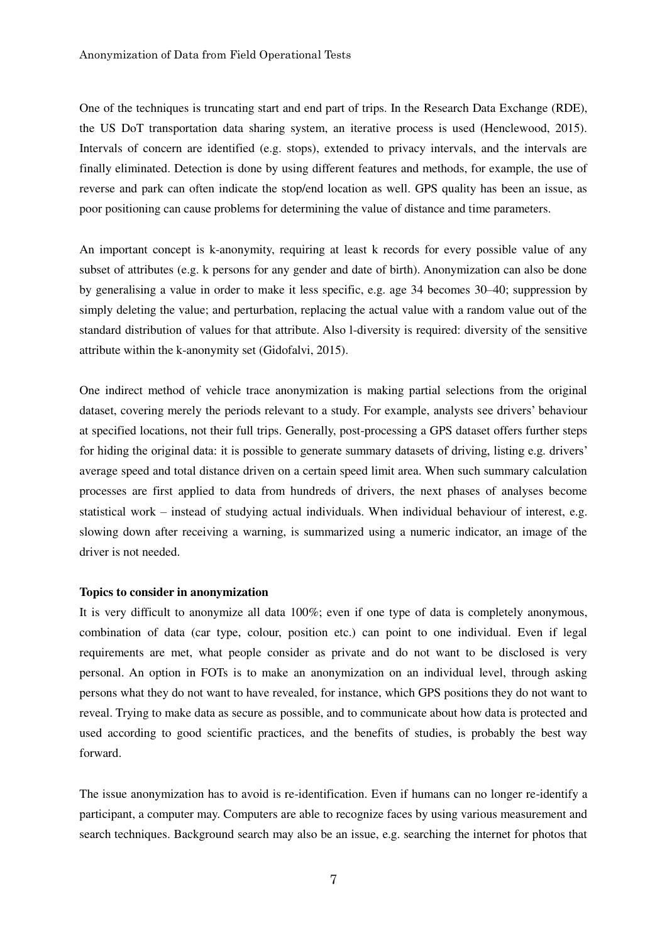One of the techniques is truncating start and end part of trips. In the Research Data Exchange (RDE), the US DoT transportation data sharing system, an iterative process is used (Henclewood, 2015). Intervals of concern are identified (e.g. stops), extended to privacy intervals, and the intervals are finally eliminated. Detection is done by using different features and methods, for example, the use of reverse and park can often indicate the stop/end location as well. GPS quality has been an issue, as poor positioning can cause problems for determining the value of distance and time parameters.

An important concept is k-anonymity, requiring at least k records for every possible value of any subset of attributes (e.g. k persons for any gender and date of birth). Anonymization can also be done by generalising a value in order to make it less specific, e.g. age 34 becomes 30–40; suppression by simply deleting the value; and perturbation, replacing the actual value with a random value out of the standard distribution of values for that attribute. Also l-diversity is required: diversity of the sensitive attribute within the k-anonymity set (Gidofalvi, 2015).

One indirect method of vehicle trace anonymization is making partial selections from the original dataset, covering merely the periods relevant to a study. For example, analysts see drivers' behaviour at specified locations, not their full trips. Generally, post-processing a GPS dataset offers further steps for hiding the original data: it is possible to generate summary datasets of driving, listing e.g. drivers' average speed and total distance driven on a certain speed limit area. When such summary calculation processes are first applied to data from hundreds of drivers, the next phases of analyses become statistical work – instead of studying actual individuals. When individual behaviour of interest, e.g. slowing down after receiving a warning, is summarized using a numeric indicator, an image of the driver is not needed.

### **Topics to consider in anonymization**

It is very difficult to anonymize all data 100%; even if one type of data is completely anonymous, combination of data (car type, colour, position etc.) can point to one individual. Even if legal requirements are met, what people consider as private and do not want to be disclosed is very personal. An option in FOTs is to make an anonymization on an individual level, through asking persons what they do not want to have revealed, for instance, which GPS positions they do not want to reveal. Trying to make data as secure as possible, and to communicate about how data is protected and used according to good scientific practices, and the benefits of studies, is probably the best way forward.

The issue anonymization has to avoid is re-identification. Even if humans can no longer re-identify a participant, a computer may. Computers are able to recognize faces by using various measurement and search techniques. Background search may also be an issue, e.g. searching the internet for photos that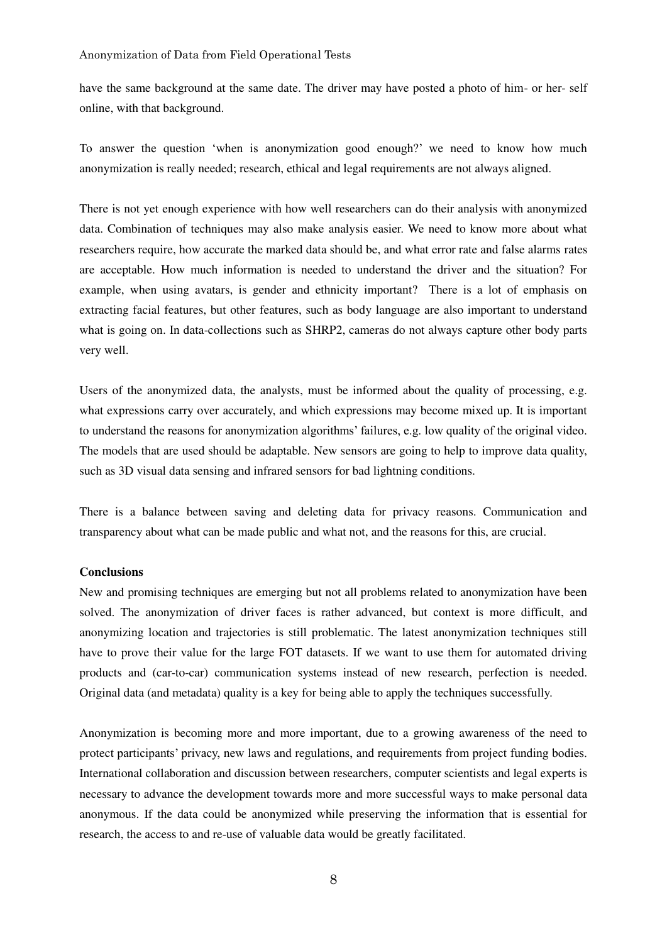have the same background at the same date. The driver may have posted a photo of him- or her- self online, with that background.

To answer the question 'when is anonymization good enough?' we need to know how much anonymization is really needed; research, ethical and legal requirements are not always aligned.

There is not yet enough experience with how well researchers can do their analysis with anonymized data. Combination of techniques may also make analysis easier. We need to know more about what researchers require, how accurate the marked data should be, and what error rate and false alarms rates are acceptable. How much information is needed to understand the driver and the situation? For example, when using avatars, is gender and ethnicity important? There is a lot of emphasis on extracting facial features, but other features, such as body language are also important to understand what is going on. In data-collections such as SHRP2, cameras do not always capture other body parts very well.

Users of the anonymized data, the analysts, must be informed about the quality of processing, e.g. what expressions carry over accurately, and which expressions may become mixed up. It is important to understand the reasons for anonymization algorithms' failures, e.g. low quality of the original video. The models that are used should be adaptable. New sensors are going to help to improve data quality, such as 3D visual data sensing and infrared sensors for bad lightning conditions.

There is a balance between saving and deleting data for privacy reasons. Communication and transparency about what can be made public and what not, and the reasons for this, are crucial.

### **Conclusions**

New and promising techniques are emerging but not all problems related to anonymization have been solved. The anonymization of driver faces is rather advanced, but context is more difficult, and anonymizing location and trajectories is still problematic. The latest anonymization techniques still have to prove their value for the large FOT datasets. If we want to use them for automated driving products and (car-to-car) communication systems instead of new research, perfection is needed. Original data (and metadata) quality is a key for being able to apply the techniques successfully.

Anonymization is becoming more and more important, due to a growing awareness of the need to protect participants' privacy, new laws and regulations, and requirements from project funding bodies. International collaboration and discussion between researchers, computer scientists and legal experts is necessary to advance the development towards more and more successful ways to make personal data anonymous. If the data could be anonymized while preserving the information that is essential for research, the access to and re-use of valuable data would be greatly facilitated.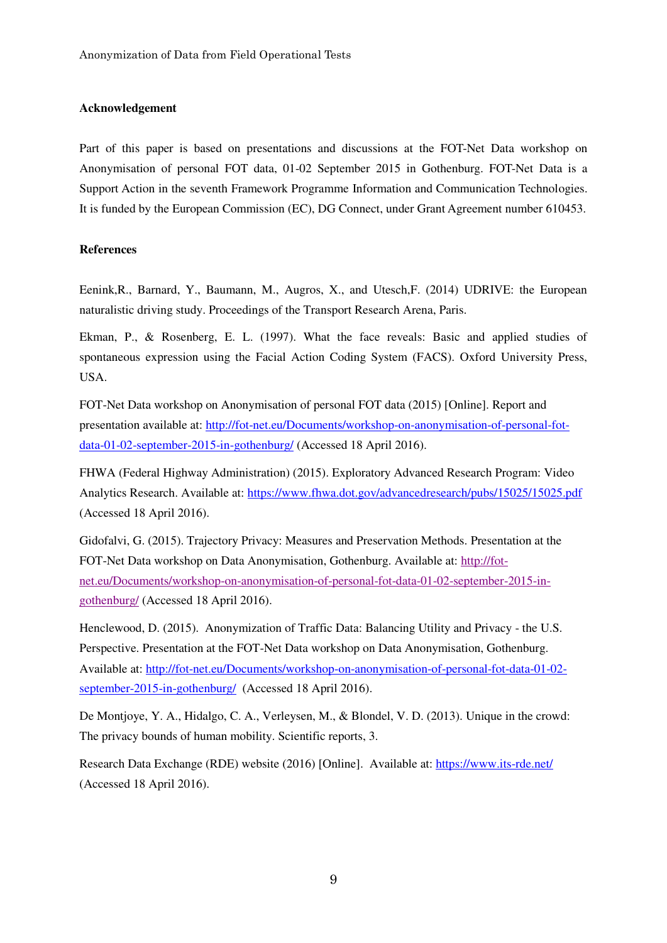### **Acknowledgement**

Part of this paper is based on presentations and discussions at the FOT-Net Data workshop on Anonymisation of personal FOT data, 01-02 September 2015 in Gothenburg. FOT-Net Data is a Support Action in the seventh Framework Programme Information and Communication Technologies. It is funded by the European Commission (EC), DG Connect, under Grant Agreement number 610453.

### **References**

Eenink,R., Barnard, Y., Baumann, M., Augros, X., and Utesch,F. (2014) UDRIVE: the European naturalistic driving study. Proceedings of the Transport Research Arena, Paris.

Ekman, P., & Rosenberg, E. L. (1997). What the face reveals: Basic and applied studies of spontaneous expression using the Facial Action Coding System (FACS). Oxford University Press, USA.

FOT-Net Data workshop on Anonymisation of personal FOT data (2015) [Online]. Report and presentation available at: [http://fot-net.eu/Documents/workshop-on-anonymisation-of-personal-fot](http://fot-net.eu/Documents/workshop-on-anonymisation-of-personal-fot-data-01-02-september-2015-in-gothenburg/)[data-01-02-september-2015-in-gothenburg/](http://fot-net.eu/Documents/workshop-on-anonymisation-of-personal-fot-data-01-02-september-2015-in-gothenburg/) (Accessed 18 April 2016).

FHWA (Federal Highway Administration) (2015). Exploratory Advanced Research Program: Video Analytics Research. Available at:<https://www.fhwa.dot.gov/advancedresearch/pubs/15025/15025.pdf> (Accessed 18 April 2016).

Gidofalvi, G. (2015). Trajectory Privacy: Measures and Preservation Methods. Presentation at the FOT-Net Data workshop on Data Anonymisation, Gothenburg. Available at: [http://fot](http://fot-net.eu/Documents/workshop-on-anonymisation-of-personal-fot-data-01-02-september-2015-in-gothenburg/)[net.eu/Documents/workshop-on-anonymisation-of-personal-fot-data-01-02-september-2015-in](http://fot-net.eu/Documents/workshop-on-anonymisation-of-personal-fot-data-01-02-september-2015-in-gothenburg/)[gothenburg/](http://fot-net.eu/Documents/workshop-on-anonymisation-of-personal-fot-data-01-02-september-2015-in-gothenburg/) (Accessed 18 April 2016).

Henclewood, D. (2015). Anonymization of Traffic Data: Balancing Utility and Privacy - the U.S. Perspective. Presentation at the FOT-Net Data workshop on Data Anonymisation, Gothenburg. Available at: [http://fot-net.eu/Documents/workshop-on-anonymisation-of-personal-fot-data-01-02](http://fot-net.eu/Documents/workshop-on-anonymisation-of-personal-fot-data-01-02-september-2015-in-gothenburg/) [september-2015-in-gothenburg/](http://fot-net.eu/Documents/workshop-on-anonymisation-of-personal-fot-data-01-02-september-2015-in-gothenburg/) (Accessed 18 April 2016).

De Montjoye, Y. A., Hidalgo, C. A., Verleysen, M., & Blondel, V. D. (2013). Unique in the crowd: The privacy bounds of human mobility. Scientific reports, 3.

Research Data Exchange (RDE) website (2016) [Online]. Available at:<https://www.its-rde.net/> (Accessed 18 April 2016).